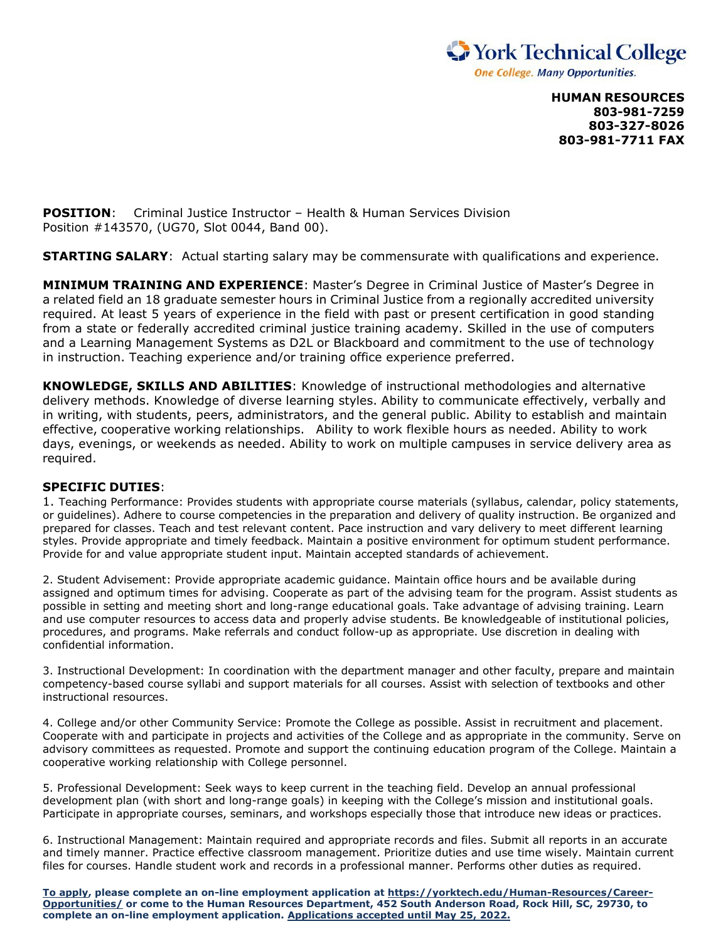

**HUMAN RESOURCES 803-981-7259 803-327-8026 803-981-7711 FAX**

**POSITION:** Criminal Justice Instructor – Health & Human Services Division Position #143570, (UG70, Slot 0044, Band 00).

**STARTING SALARY**: Actual starting salary may be commensurate with qualifications and experience.

**MINIMUM TRAINING AND EXPERIENCE**: Master's Degree in Criminal Justice of Master's Degree in a related field an 18 graduate semester hours in Criminal Justice from a regionally accredited university required. At least 5 years of experience in the field with past or present certification in good standing from a state or federally accredited criminal justice training academy. Skilled in the use of computers and a Learning Management Systems as D2L or Blackboard and commitment to the use of technology in instruction. Teaching experience and/or training office experience preferred.

**KNOWLEDGE, SKILLS AND ABILITIES**: Knowledge of instructional methodologies and alternative delivery methods. Knowledge of diverse learning styles. Ability to communicate effectively, verbally and in writing, with students, peers, administrators, and the general public. Ability to establish and maintain effective, cooperative working relationships. Ability to work flexible hours as needed. Ability to work days, evenings, or weekends as needed. Ability to work on multiple campuses in service delivery area as required.

## **SPECIFIC DUTIES**:

1. Teaching Performance: Provides students with appropriate course materials (syllabus, calendar, policy statements, or guidelines). Adhere to course competencies in the preparation and delivery of quality instruction. Be organized and prepared for classes. Teach and test relevant content. Pace instruction and vary delivery to meet different learning styles. Provide appropriate and timely feedback. Maintain a positive environment for optimum student performance. Provide for and value appropriate student input. Maintain accepted standards of achievement.

2. Student Advisement: Provide appropriate academic guidance. Maintain office hours and be available during assigned and optimum times for advising. Cooperate as part of the advising team for the program. Assist students as possible in setting and meeting short and long-range educational goals. Take advantage of advising training. Learn and use computer resources to access data and properly advise students. Be knowledgeable of institutional policies, procedures, and programs. Make referrals and conduct follow-up as appropriate. Use discretion in dealing with confidential information.

3. Instructional Development: In coordination with the department manager and other faculty, prepare and maintain competency-based course syllabi and support materials for all courses. Assist with selection of textbooks and other instructional resources.

4. College and/or other Community Service: Promote the College as possible. Assist in recruitment and placement. Cooperate with and participate in projects and activities of the College and as appropriate in the community. Serve on advisory committees as requested. Promote and support the continuing education program of the College. Maintain a cooperative working relationship with College personnel.

5. Professional Development: Seek ways to keep current in the teaching field. Develop an annual professional development plan (with short and long-range goals) in keeping with the College's mission and institutional goals. Participate in appropriate courses, seminars, and workshops especially those that introduce new ideas or practices.

6. Instructional Management: Maintain required and appropriate records and files. Submit all reports in an accurate and timely manner. Practice effective classroom management. Prioritize duties and use time wisely. Maintain current files for courses. Handle student work and records in a professional manner. Performs other duties as required.

**To apply, please complete an on-line employment application at https://yorktech.edu/Human-Resources/Career-Opportunities/ or come to the Human Resources Department, 452 South Anderson Road, Rock Hill, SC, 29730, to complete an on-line employment application. Applications accepted until May 25, 2022.**